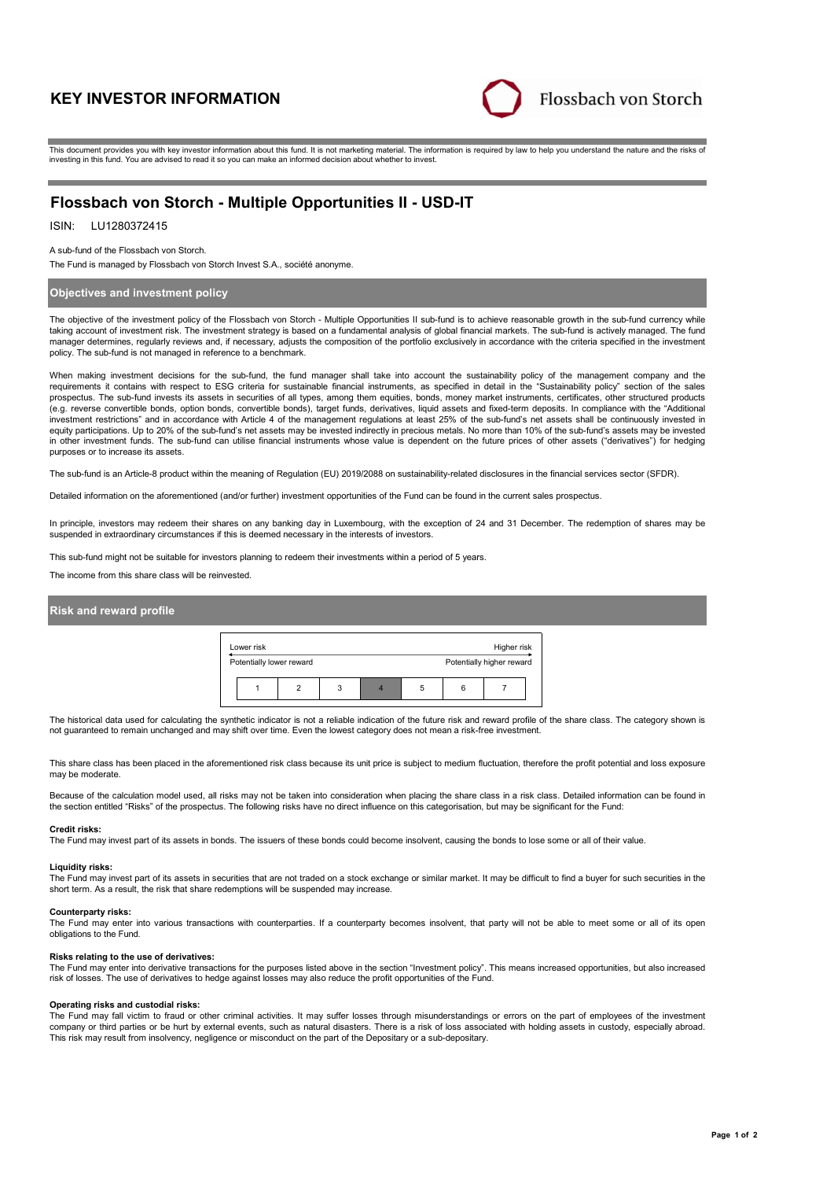# **KEY INVESTOR INFORMATION**



This document provides you with key investor information about this fund. It is not marketing material. The information is required by law to help you understand the nature and the risks of investing in this fund. You are advised to read it so you can make an informed decision about whether to invest.

# **Flossbach von Storch - Multiple Opportunities II - USD-IT**

## ISIN: LU1280372415

A sub-fund of the Flossbach von Storch.

The Fund is managed by Flossbach von Storch Invest S.A., société anonyme.

## **Objectives and investment policy**

The objective of the investment policy of the Flossbach von Storch - Multiple Opportunities II sub-fund is to achieve reasonable growth in the sub-fund currency while taking account of investment risk. The investment strategy is based on a fundamental analysis of global financial markets. The sub-fund is actively managed. The fund manager determines, regularly reviews and, if necessary, adjusts the composition of the portfolio exclusively in accordance with the criteria specified in the investment policy. The sub-fund is not managed in reference to a benchmark.

When making investment decisions for the sub-fund, the fund manager shall take into account the sustainability policy of the management company and the requirements it contains with respect to ESG criteria for sustainable financial instruments, as specified in detail in the "Sustainability policy" section of the sales prospectus. The sub-fund invests its assets in securities of all types, among them equities, bonds, money market instruments, certificates, other structured products (e.g. reverse convertible bonds, option bonds, convertible bonds), target funds, derivatives, liquid assets and fixed-term deposits. In compliance with the "Additional investment restrictions" and in accordance with Article 4 of the management regulations at least 25% of the sub-fund's net assets shall be continuously invested in equity participations. Up to 20% of the sub-fund's net assets may be invested indirectly in precious metals. No more than 10% of the sub-fund's assets may be invested in other investment funds. The sub-fund can utilise financial instruments whose value is dependent on the future prices of other assets ("derivatives") for hedging purposes or to increase its assets.

The sub-fund is an Article-8 product within the meaning of Regulation (EU) 2019/2088 on sustainability-related disclosures in the financial services sector (SFDR).

Detailed information on the aforementioned (and/or further) investment opportunities of the Fund can be found in the current sales prospectus.

In principle, investors may redeem their shares on any banking day in Luxembourg, with the exception of 24 and 31 December. The redemption of shares may be suspended in extraordinary circumstances if this is deemed necessary in the interests of investors.

This sub-fund might not be suitable for investors planning to redeem their investments within a period of 5 years.

The income from this share class will be reinvested.

## **Risk and reward profile**

| Lower risk |                          |   | Higher risk |   |                           |  |
|------------|--------------------------|---|-------------|---|---------------------------|--|
|            | Potentially lower reward |   |             |   | Potentially higher reward |  |
|            |                          | 3 |             | 5 |                           |  |

The historical data used for calculating the synthetic indicator is not a reliable indication of the future risk and reward profile of the share class. The category shown is not guaranteed to remain unchanged and may shift over time. Even the lowest category does not mean a risk-free investment.

This share class has been placed in the aforementioned risk class because its unit price is subject to medium fluctuation, therefore the profit potential and loss exposure may be moderate

Because of the calculation model used, all risks may not be taken into consideration when placing the share class in a risk class. Detailed information can be found in<br>the section entitled "Risks" of the prospectus. The fo

#### **Credit risks:**

The Fund may invest part of its assets in bonds. The issuers of these bonds could become insolvent, causing the bonds to lose some or all of their value.

#### **Liquidity risks:**

The Fund may invest part of its assets in securities that are not traded on a stock exchange or similar market. It may be difficult to find a buyer for such securities in the short term. As a result, the risk that share redemptions will be suspended may increase.

#### **Counterparty risks:**

The Fund may enter into various transactions with counterparties. If a counterparty becomes insolvent, that party will not be able to meet some or all of its open obligations to the Fund.

#### **Risks relating to the use of derivatives:**

The Fund may enter into derivative transactions for the purposes listed above in the section "Investment policy". This means increased opportunities, but also increased risk of losses. The use of derivatives to hedge against losses may also reduce the profit opportunities of the Fund.

#### **Operating risks and custodial risks:**

The Fund may fall victim to fraud or other criminal activities. It may suffer losses through misunderstandings or errors on the part of employees of the investment company or third parties or be hurt by external events, such as natural disasters. There is a risk of loss associated with holding assets in custody, especially abroad. This risk may result from insolvency, negligence or misconduct on the part of the Depositary or a sub-depositary.